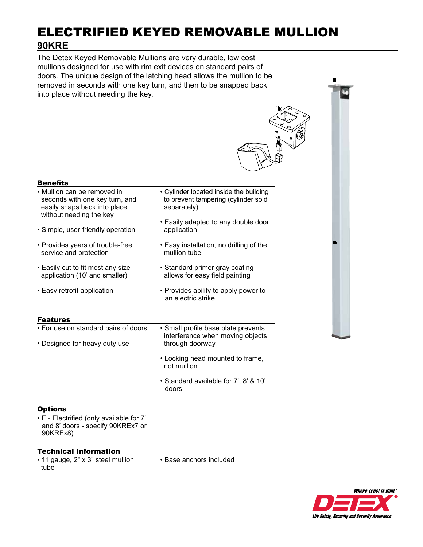# ELECTRIFIED KEYED REMOVABLE MULLION **90KRE**

The Detex Keyed Removable Mullions are very durable, low cost mullions designed for use with rim exit devices on standard pairs of doors. The unique design of the latching head allows the mullion to be removed in seconds with one key turn, and then to be snapped back into place without needing the key.

| <b>Benefits</b>                                                                                                          |                                                                                              |
|--------------------------------------------------------------------------------------------------------------------------|----------------------------------------------------------------------------------------------|
| • Mullion can be removed in<br>seconds with one key turn, and<br>easily snaps back into place<br>without needing the key | • Cylinder located inside the building<br>to prevent tampering (cylinder sold<br>separately) |
| • Simple, user-friendly operation                                                                                        | • Easily adapted to any double door<br>application                                           |
| • Provides years of trouble-free<br>service and protection                                                               | • Easy installation, no drilling of the<br>mullion tube                                      |
| • Easily cut to fit most any size<br>application (10' and smaller)                                                       | • Standard primer gray coating<br>allows for easy field painting                             |
| • Easy retrofit application                                                                                              | • Provides ability to apply power to<br>an electric strike                                   |
| <b>Features</b>                                                                                                          |                                                                                              |
| • For use on standard pairs of doors                                                                                     | • Small profile base plate prevents<br>interference when moving objects                      |
| • Designed for heavy duty use                                                                                            | through doorway                                                                              |
|                                                                                                                          | • Locking head mounted to frame,<br>not mullion                                              |

• Standard available for 7', 8' & 10' doors

# **Options**

• E - Electrified (only available for 7' and 8' doors - specify 90KREx7 or 90KREx8)

# Technical Information

• 11 gauge, 2" x 3" steel mullion tube

• Base anchors included